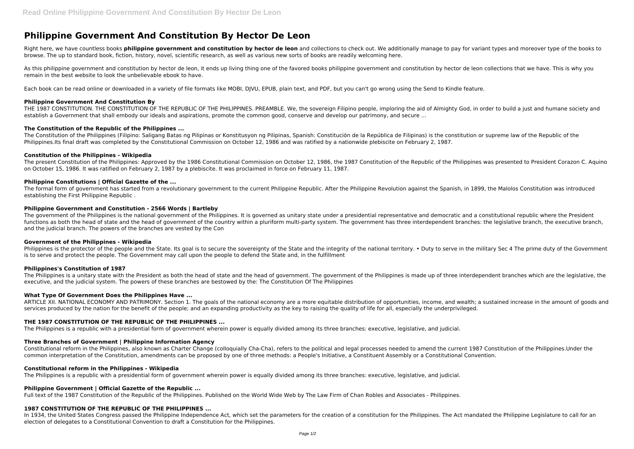# **Philippine Government And Constitution By Hector De Leon**

Right here, we have countless books **philippine government and constitution by hector de leon** and collections to check out. We additionally manage to pay for variant types and moreover type of the books to browse. The up to standard book, fiction, history, novel, scientific research, as well as various new sorts of books are readily welcoming here.

As this philippine government and constitution by hector de leon, it ends up living thing one of the favored books philippine government and constitution by hector de leon collections that we have. This is why you remain in the best website to look the unbelievable ebook to have.

Each book can be read online or downloaded in a variety of file formats like MOBI, DJVU, EPUB, plain text, and PDF, but you can't go wrong using the Send to Kindle feature.

## **Philippine Government And Constitution By**

THE 1987 CONSTITUTION. THE CONSTITUTION OF THE REPUBLIC OF THE PHILIPPINES. PREAMBLE. We, the sovereign Filipino people, imploring the aid of Almighty God, in order to build a just and humane society and establish a Government that shall embody our ideals and aspirations, promote the common good, conserve and develop our patrimony, and secure ...

## **The Constitution of the Republic of the Philippines ...**

The government of the Philippines is the national government of the Philippines. It is governed as unitary state under a presidential representative and democratic and a constitutional republic where the President functions as both the head of state and the head of government of the country within a pluriform multi-party system. The government has three interdependent branches: the legislative branch, the executive branch, and the judicial branch. The powers of the branches are vested by the Con

The Constitution of the Philippines (Filipino: Saligang Batas ng Pilipinas or Konstitusyon ng Pilipinas, Spanish: Constitución de la República de Filipinas) is the constitution or supreme law of the Republic of the Philippines.Its final draft was completed by the Constitutional Commission on October 12, 1986 and was ratified by a nationwide plebiscite on February 2, 1987.

Philippines is the protector of the people and the State. Its goal is to secure the sovereignty of the State and the integrity of the national territory. • Duty to serve in the military Sec 4 The prime duty of the Governme is to serve and protect the people. The Government may call upon the people to defend the State and, in the fulfillment

## **Constitution of the Philippines - Wikipedia**

The Philippines is a unitary state with the President as both the head of state and the head of government. The government of the Philippines is made up of three interdependent branches which are the legislative, the executive, and the judicial system. The powers of these branches are bestowed by the: The Constitution Of The Philippines

The present Constitution of the Philippines: Approved by the 1986 Constitutional Commission on October 12, 1986, the 1987 Constitution of the Republic of the Philippines was presented to President Corazon C. Aquino on October 15, 1986. It was ratified on February 2, 1987 by a plebiscite. It was proclaimed in force on February 11, 1987.

ARTICLE XII. NATIONAL ECONOMY AND PATRIMONY. Section 1. The goals of the national economy are a more equitable distribution of opportunities, income, and wealth; a sustained increase in the amount of goods and services produced by the nation for the benefit of the people; and an expanding productivity as the key to raising the quality of life for all, especially the underprivileged.

## **Philippine Constitutions | Official Gazette of the ...**

The formal form of government has started from a revolutionary government to the current Philippine Republic. After the Philippine Revolution against the Spanish, in 1899, the Malolos Constitution was introduced establishing the First Philippine Republic .

## **Philippine Government and Constitution - 2566 Words | Bartleby**

In 1934, the United States Congress passed the Philippine Independence Act, which set the parameters for the creation of a constitution for the Philippines. The Act mandated the Philippine Legislature to call for an election of delegates to a Constitutional Convention to draft a Constitution for the Philippines.

## **Government of the Philippines - Wikipedia**

## **Philippines's Constitution of 1987**

## **What Type Of Government Does the Philippines Have ...**

## **THE 1987 CONSTITUTION OF THE REPUBLIC OF THE PHILIPPINES ...**

The Philippines is a republic with a presidential form of government wherein power is equally divided among its three branches: executive, legislative, and judicial.

## **Three Branches of Government | Philippine Information Agency**

Constitutional reform in the Philippines, also known as Charter Change (colloquially Cha-Cha), refers to the political and legal processes needed to amend the current 1987 Constitution of the Philippines.Under the common interpretation of the Constitution, amendments can be proposed by one of three methods: a People's Initiative, a Constituent Assembly or a Constitutional Convention.

## **Constitutional reform in the Philippines - Wikipedia**

The Philippines is a republic with a presidential form of government wherein power is equally divided among its three branches: executive, legislative, and judicial.

## **Philippine Government | Official Gazette of the Republic ...**

Full text of the 1987 Constitution of the Republic of the Philippines. Published on the World Wide Web by The Law Firm of Chan Robles and Associates - Philippines.

## **1987 CONSTITUTION OF THE REPUBLIC OF THE PHILIPPINES ...**